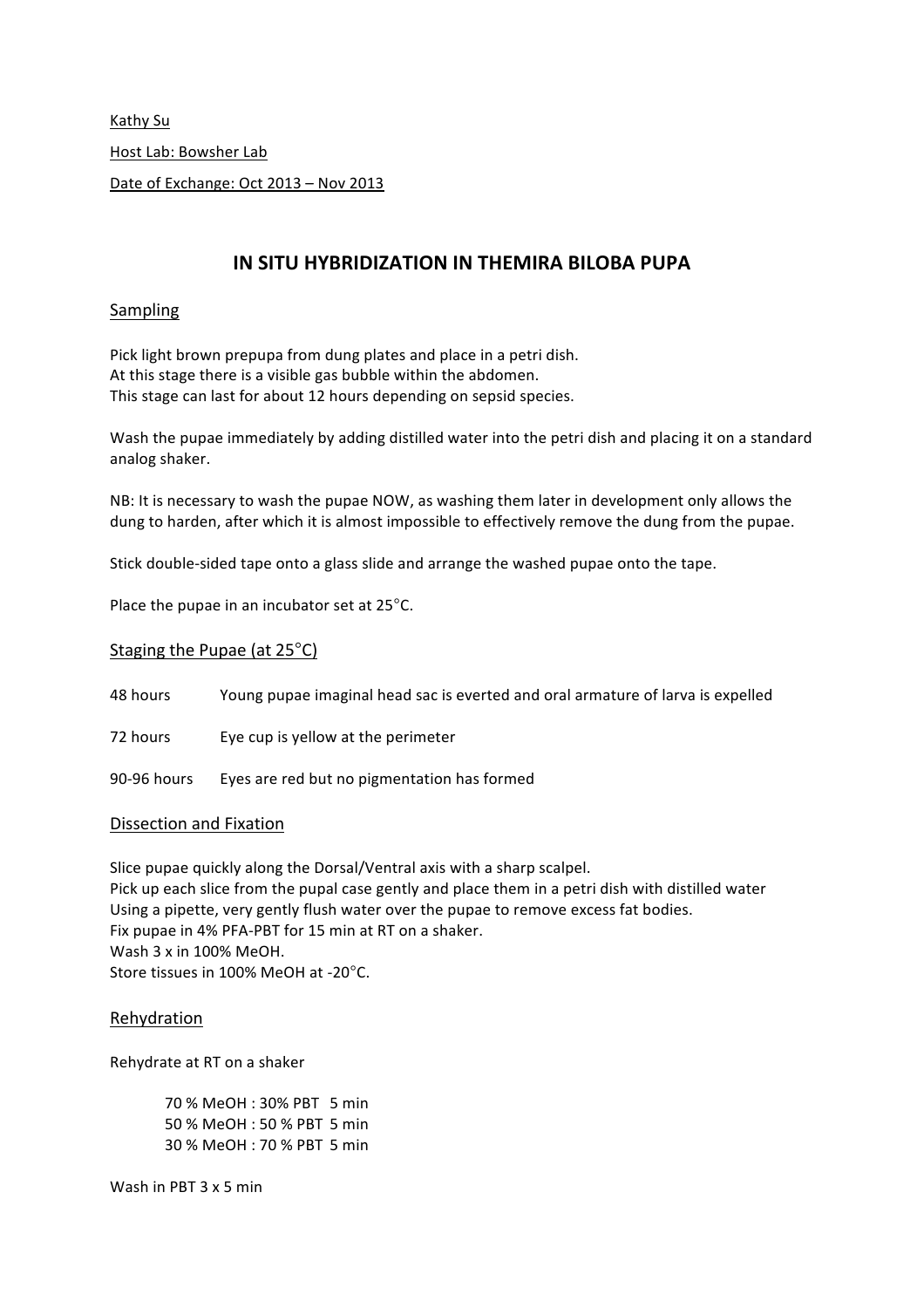Kathy Su Host Lab: Bowsher Lab Date of Exchange: Oct 2013 - Nov 2013

# **IN SITU HYBRIDIZATION IN THEMIRA BILOBA PUPA**

### Sampling

Pick light brown prepupa from dung plates and place in a petri dish. At this stage there is a visible gas bubble within the abdomen. This stage can last for about 12 hours depending on sepsid species.

Wash the pupae immediately by adding distilled water into the petri dish and placing it on a standard analog shaker.

NB: It is necessary to wash the pupae NOW, as washing them later in development only allows the dung to harden, after which it is almost impossible to effectively remove the dung from the pupae.

Stick double-sided tape onto a glass slide and arrange the washed pupae onto the tape.

Place the pupae in an incubator set at  $25^{\circ}$ C.

### Staging the Pupae (at  $25^{\circ}$ C)

48 hours Young pupae imaginal head sac is everted and oral armature of larva is expelled

72 hours Eye cup is yellow at the perimeter

90-96 hours Eyes are red but no pigmentation has formed

### Dissection and Fixation

Slice pupae quickly along the Dorsal/Ventral axis with a sharp scalpel. Pick up each slice from the pupal case gently and place them in a petri dish with distilled water Using a pipette, very gently flush water over the pupae to remove excess fat bodies. Fix pupae in 4% PFA-PBT for 15 min at RT on a shaker. Wash  $3x$  in 100% MeOH. Store tissues in 100% MeOH at -20°C.

### Rehydration

Rehydrate at RT on a shaker

70 % MeOH: 30% PBT 5 min 50 % MeOH: 50 % PBT 5 min 30 % MeOH: 70 % PBT 5 min

Wash in PBT  $3 \times 5$  min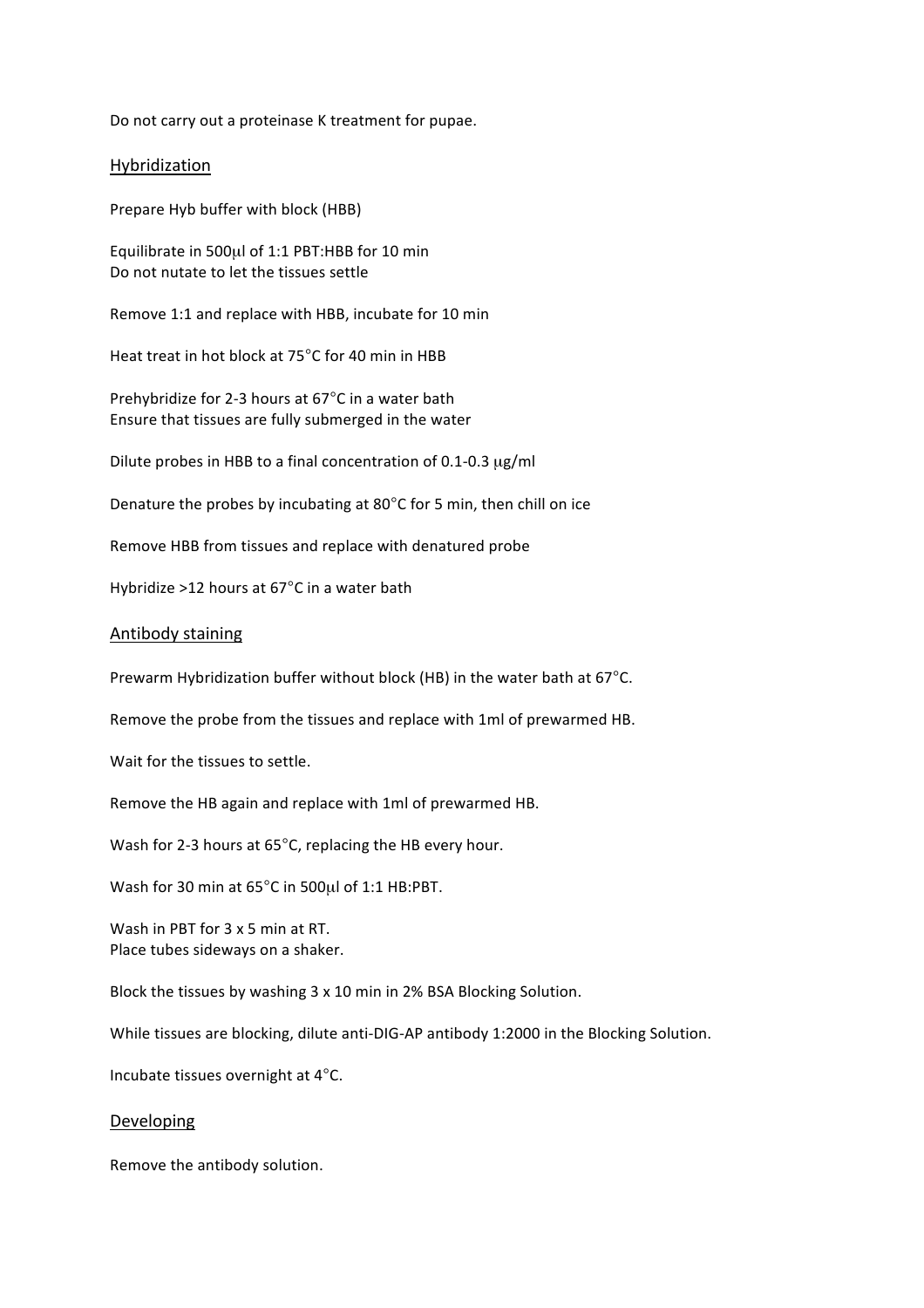Do not carry out a proteinase K treatment for pupae.

#### Hybridization

Prepare Hyb buffer with block (HBB)

Equilibrate in 500µl of 1:1 PBT:HBB for 10 min Do not nutate to let the tissues settle

Remove 1:1 and replace with HBB, incubate for 10 min

Heat treat in hot block at 75°C for 40 min in HBB

Prehybridize for 2-3 hours at 67°C in a water bath Ensure that tissues are fully submerged in the water

Dilute probes in HBB to a final concentration of 0.1-0.3  $\mu$ g/ml

Denature the probes by incubating at 80 $^{\circ}$ C for 5 min, then chill on ice

Remove HBB from tissues and replace with denatured probe

Hybridize >12 hours at  $67^{\circ}$ C in a water bath

#### **Antibody staining**

Prewarm Hybridization buffer without block (HB) in the water bath at  $67^{\circ}$ C.

Remove the probe from the tissues and replace with 1ml of prewarmed HB.

Wait for the tissues to settle.

Remove the HB again and replace with 1ml of prewarmed HB.

Wash for 2-3 hours at  $65^{\circ}$ C, replacing the HB every hour.

Wash for 30 min at 65°C in 500µl of 1:1 HB:PBT.

Wash in PBT for  $3 \times 5$  min at RT. Place tubes sideways on a shaker.

Block the tissues by washing 3 x 10 min in 2% BSA Blocking Solution.

While tissues are blocking, dilute anti-DIG-AP antibody 1:2000 in the Blocking Solution.

Incubate tissues overnight at  $4^{\circ}$ C.

#### Developing

Remove the antibody solution.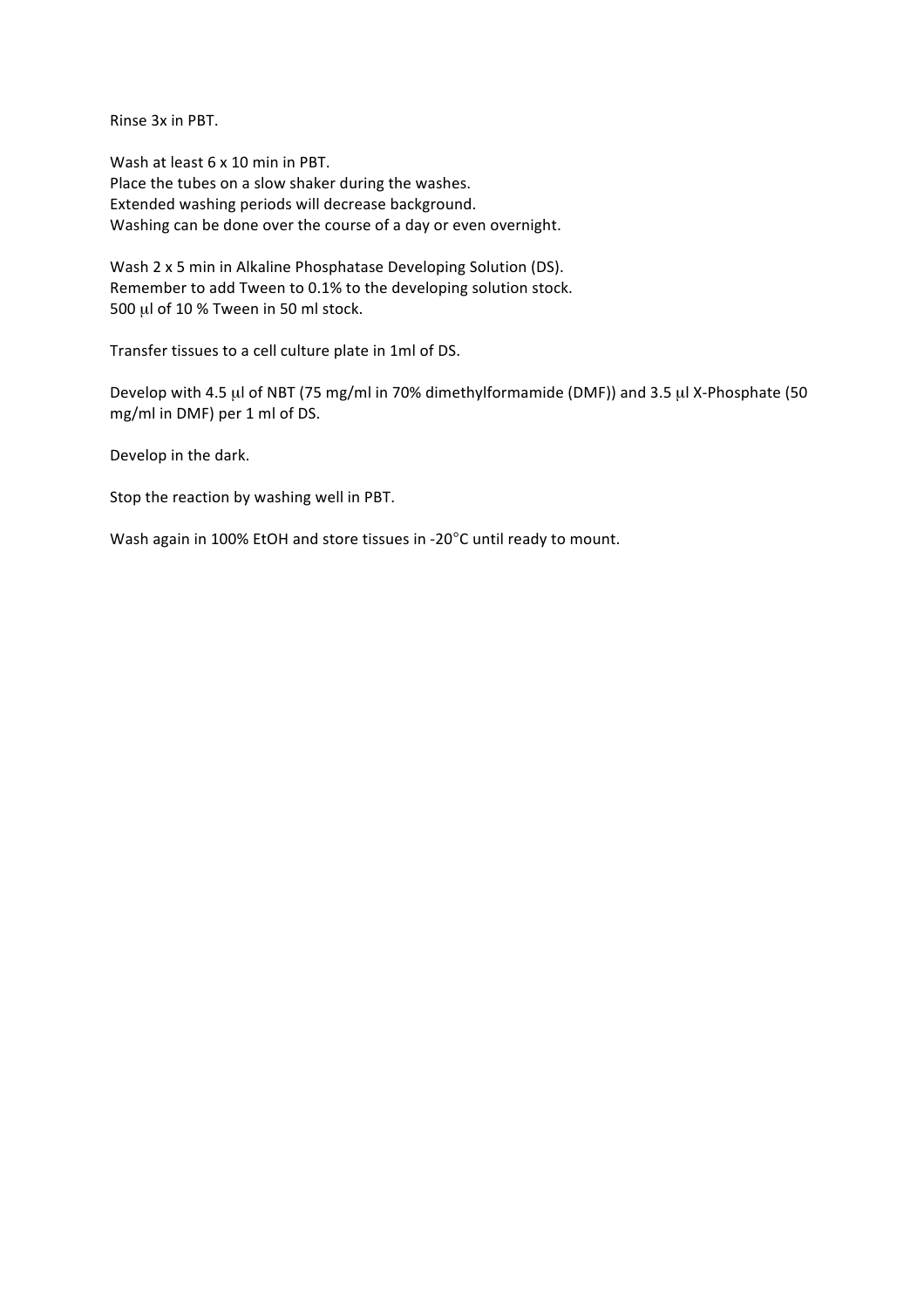Rinse 3x in PBT.

Wash at least 6 x 10 min in PBT. Place the tubes on a slow shaker during the washes. Extended washing periods will decrease background. Washing can be done over the course of a day or even overnight.

Wash 2 x 5 min in Alkaline Phosphatase Developing Solution (DS). Remember to add Tween to 0.1% to the developing solution stock. 500  $\mu$ l of 10 % Tween in 50 ml stock.

Transfer tissues to a cell culture plate in 1ml of DS.

Develop with 4.5 µl of NBT (75 mg/ml in 70% dimethylformamide (DMF)) and 3.5 µl X-Phosphate (50 mg/ml in DMF) per 1 ml of DS.

Develop in the dark.

Stop the reaction by washing well in PBT.

Wash again in 100% EtOH and store tissues in -20°C until ready to mount.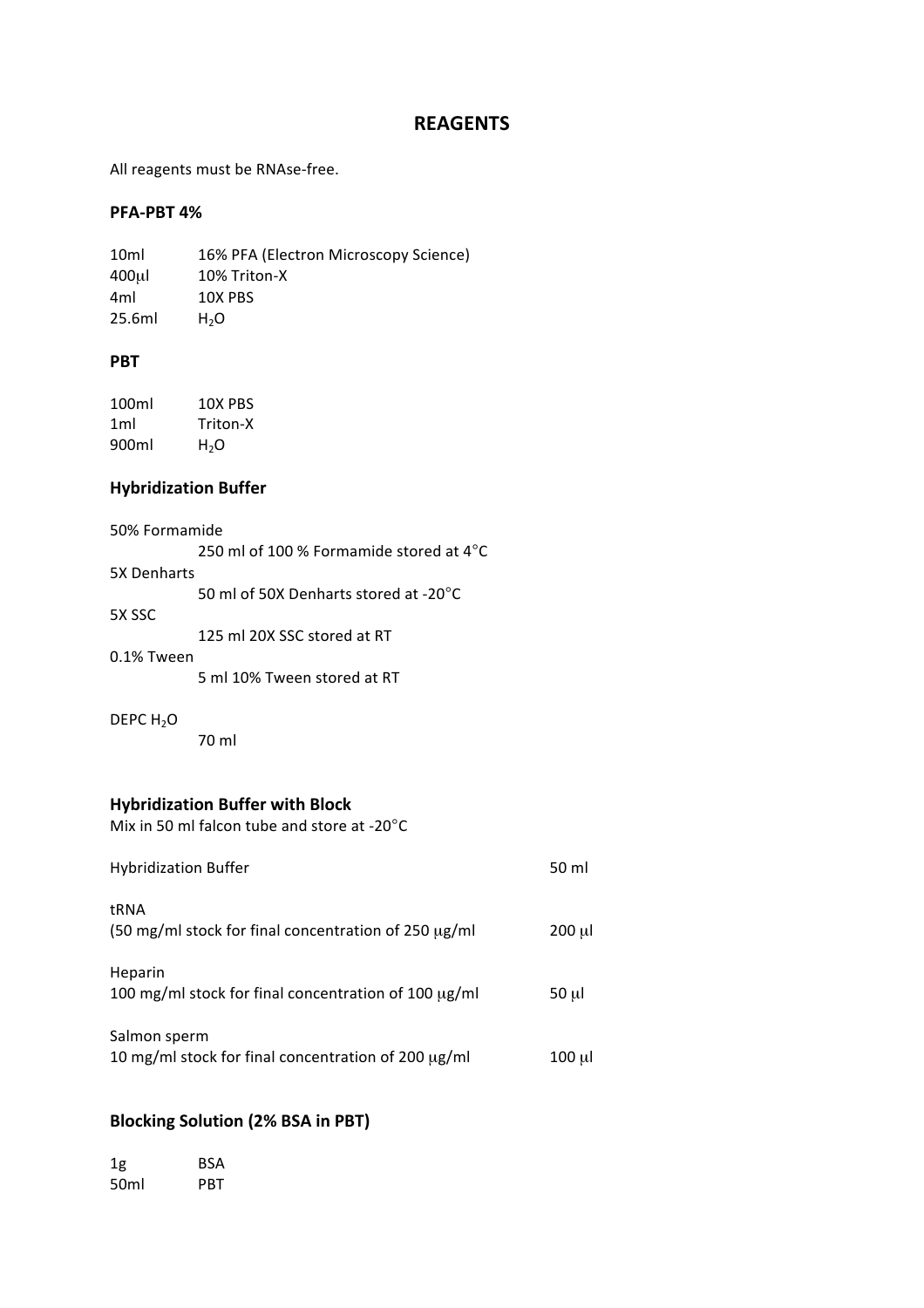## **REAGENTS**

All reagents must be RNAse-free.

### **PFA-PBT 4%**

10ml 16% PFA (Electron Microscopy Science) 400µl 10% Triton-X 4ml 10X PBS  $25.6ml$   $H<sub>2</sub>O$ 

### **PBT**

100ml 10X PBS 1ml Triton-X 900ml H2O

### **Hybridization Buffer**

| 50% Formamide |                                                   |
|---------------|---------------------------------------------------|
|               | 250 ml of 100 % Formamide stored at $4^{\circ}$ C |
| 5X Denharts   |                                                   |
|               | 50 ml of 50X Denharts stored at -20°C             |
| 5X SSC        |                                                   |
|               | 125 ml 20X SSC stored at RT                       |
| 0.1% Tween    |                                                   |
|               | 5 ml 10% Tween stored at RT                       |
|               |                                                   |

### DEPC  $H_2O$

70 ml

### **Hybridization Buffer with Block**

Mix in 50 ml falcon tube and store at -20 $^{\circ}$ C

| <b>Hybridization Buffer</b>                                                 | 50 ml     |
|-----------------------------------------------------------------------------|-----------|
| tRNA<br>$(50 \text{ mg/ml}$ stock for final concentration of 250 $\mu$ g/ml | $200 \mu$ |
| Heparin<br>100 mg/ml stock for final concentration of 100 μg/ml             | 50 µl     |
| Salmon sperm<br>10 mg/ml stock for final concentration of 200 µg/ml         | 100 ul    |

## **Blocking Solution (2% BSA in PBT)**

| 1g   | BSA |
|------|-----|
| 50ml | PRT |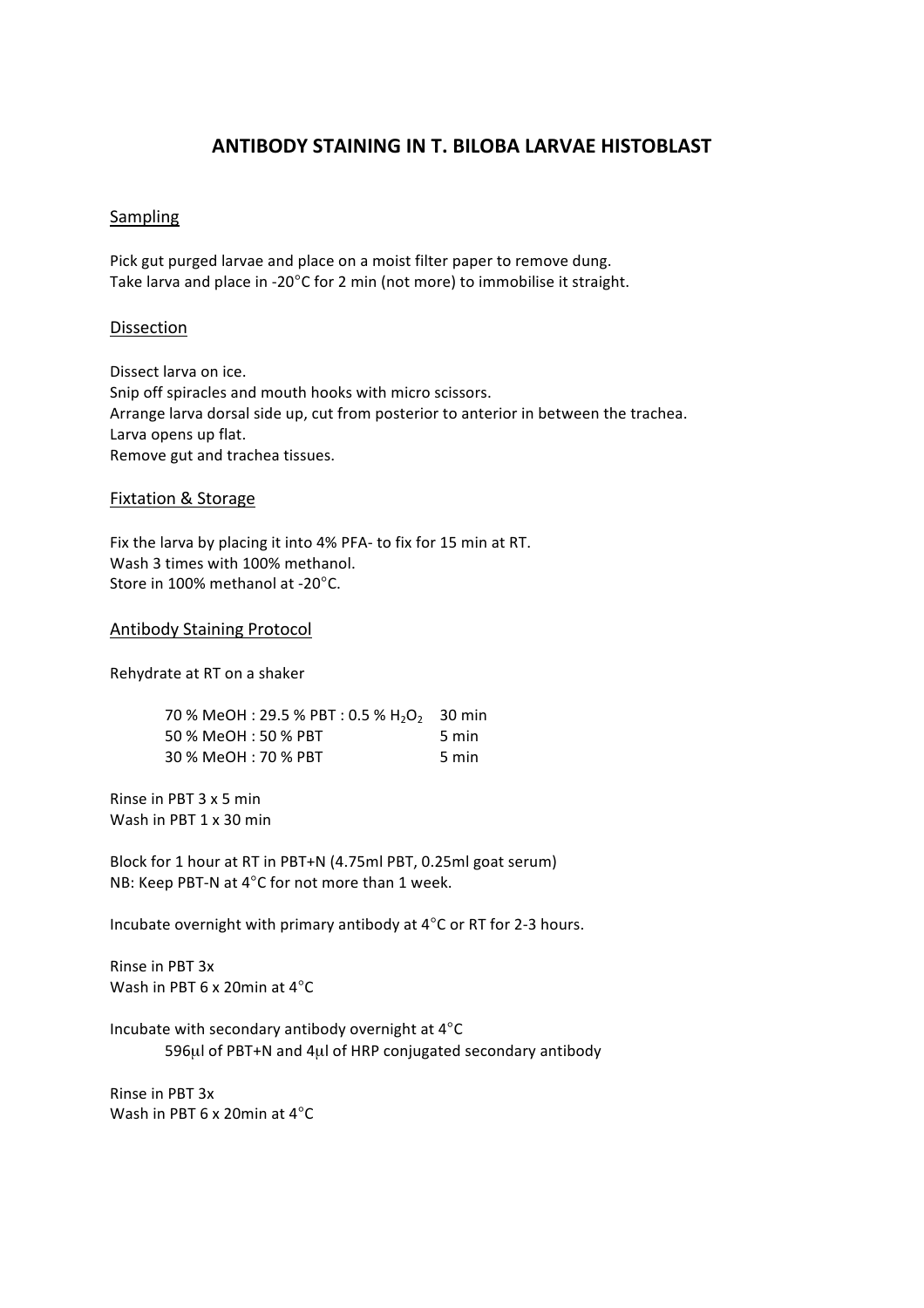## **ANTIBODY STAINING IN T. BILOBA LARVAE HISTOBLAST**

### Sampling

Pick gut purged larvae and place on a moist filter paper to remove dung. Take larva and place in -20°C for 2 min (not more) to immobilise it straight.

### Dissection

Dissect larva on ice. Snip off spiracles and mouth hooks with micro scissors. Arrange larva dorsal side up, cut from posterior to anterior in between the trachea. Larva opens up flat. Remove gut and trachea tissues.

### **Fixtation & Storage**

Fix the larva by placing it into 4% PFA- to fix for 15 min at RT. Wash 3 times with 100% methanol. Store in 100% methanol at -20°C.

#### Antibody Staining Protocol

Rehydrate at RT on a shaker

| 70 % MeOH : 29.5 % PBT : 0.5 % H <sub>2</sub> O <sub>2</sub> 30 min |       |
|---------------------------------------------------------------------|-------|
| 50 % MeOH : 50 % PBT                                                | 5 min |
| 30 % MeOH : 70 % PBT                                                | 5 min |

Rinse in PBT  $3 \times 5$  min Wash in PBT 1 x 30 min

Block for 1 hour at RT in PBT+N (4.75ml PBT, 0.25ml goat serum) NB: Keep PBT-N at 4°C for not more than 1 week.

Incubate overnight with primary antibody at 4°C or RT for 2-3 hours.

Rinse in PBT 3x Wash in PBT 6  $\times$  20min at 4 $\degree$ C

Incubate with secondary antibody overnight at  $4^{\circ}$ C 596µl of PBT+N and 4µl of HRP conjugated secondary antibody

Rinse in PBT 3x Wash in PBT 6  $\times$  20min at 4 $\degree$ C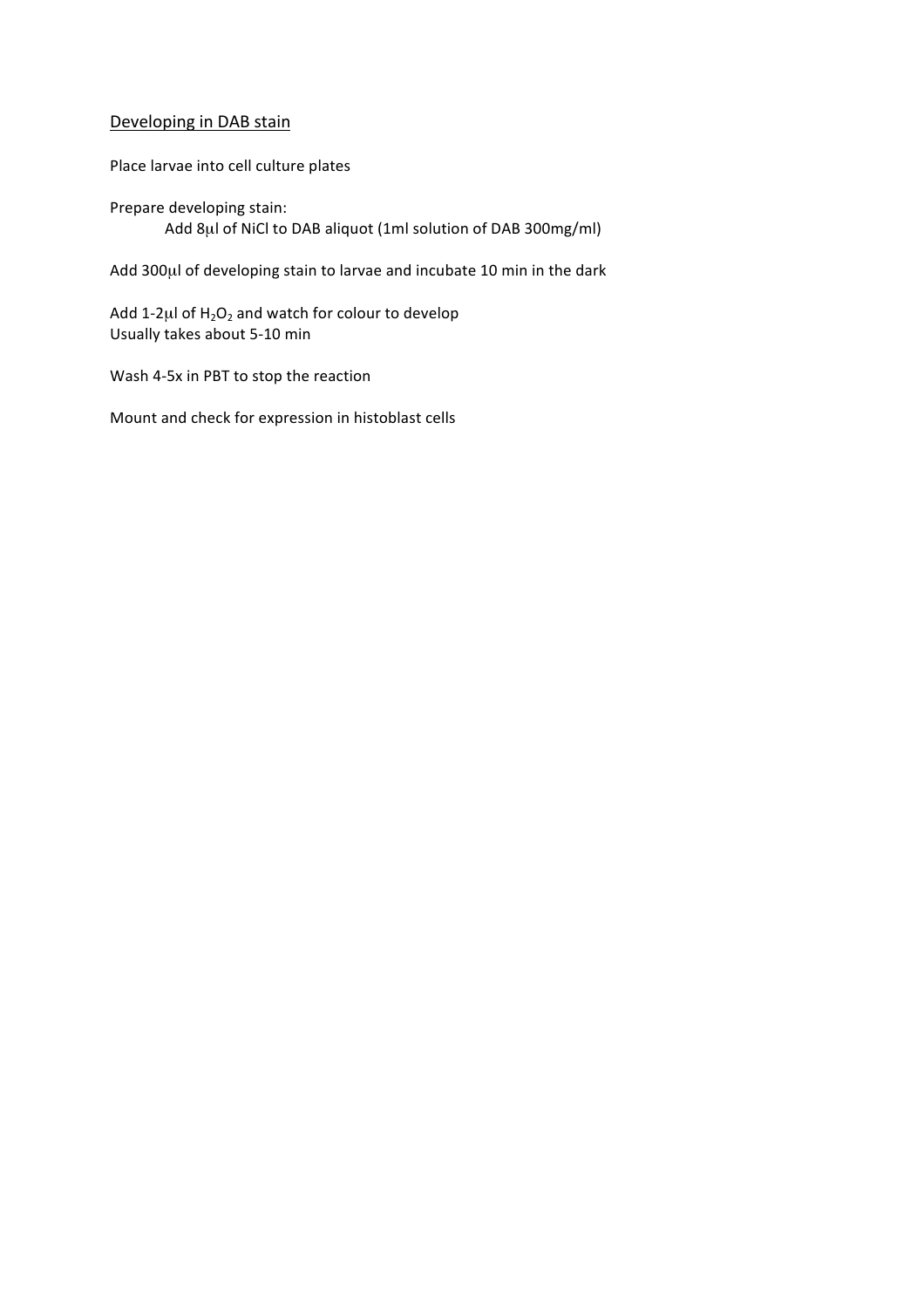## Developing in DAB stain

Place larvae into cell culture plates

Prepare developing stain: Add 8µl of NiCl to DAB aliquot (1ml solution of DAB 300mg/ml)

Add 300µl of developing stain to larvae and incubate 10 min in the dark

Add 1-2 $\mu$ l of H<sub>2</sub>O<sub>2</sub> and watch for colour to develop Usually takes about 5-10 min

Wash 4-5x in PBT to stop the reaction

Mount and check for expression in histoblast cells